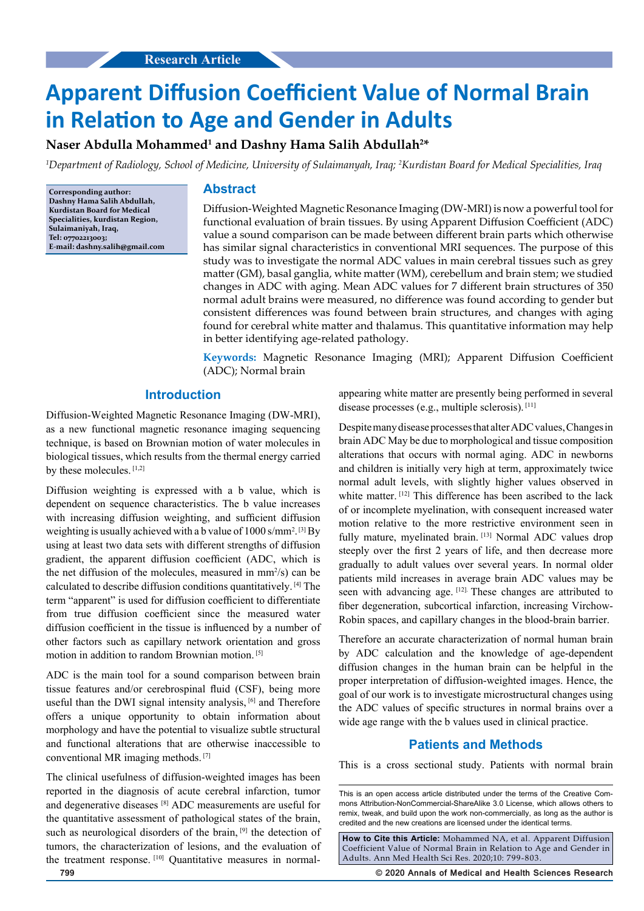# **Apparent Diffusion Coefficient Value of Normal Brain in Relation to Age and Gender in Adults**

## $\boldsymbol{\Lambda}$ aser Abdulla Mohammed $^1$  and Dashny Hama Salih Abdullah $^{2*}$

*1 Department of Radiology, School of Medicine, University of Sulaimanyah, Iraq; 2 Kurdistan Board for Medical Specialities, Iraq*

**Corresponding author: Dashny Hama Salih Abdullah, Kurdistan Board for Medical Specialities, kurdistan Region, Sulaimaniyah, Iraq, Tel: 07702213003; E-mail: dashny.salih@gmail.com**

### **Abstract**

Diffusion-Weighted Magnetic Resonance Imaging (DW-MRI) is now a powerful tool for functional evaluation of brain tissues. By using Apparent Diffusion Coefficient (ADC) value a sound comparison can be made between different brain parts which otherwise has similar signal characteristics in conventional MRI sequences. The purpose of this study was to investigate the normal ADC values in main cerebral tissues such as grey matter (GM), basal ganglia, white matter (WM), cerebellum and brain stem; we studied changes in ADC with aging. Mean ADC values for 7 different brain structures of 350 normal adult brains were measured, no difference was found according to gender but consistent differences was found between brain structures, and changes with aging found for cerebral white matter and thalamus. This quantitative information may help in better identifying age-related pathology.

**Keywords:** Magnetic Resonance Imaging (MRI); Apparent Diffusion Coefficient (ADC); Normal brain

#### **Introduction**

Diffusion-Weighted Magnetic Resonance Imaging (DW-MRI), as a new functional magnetic resonance imaging sequencing technique, is based on Brownian motion of water molecules in biological tissues, which results from the thermal energy carried by these molecules.  $[1,2]$ 

Diffusion weighting is expressed with a b value, which is dependent on sequence characteristics. The b value increases with increasing diffusion weighting, and sufficient diffusion weighting is usually achieved with a b value of  $1000 \text{ s/mm}^2$ . <sup>[3]</sup> By using at least two data sets with different strengths of diffusion gradient, the apparent diffusion coefficient (ADC, which is the net diffusion of the molecules, measured in  $mm^2/s$ ) can be calculated to describe diffusion conditions quantitatively. [4] The term "apparent" is used for diffusion coefficient to differentiate from true diffusion coefficient since the measured water diffusion coefficient in the tissue is influenced by a number of other factors such as capillary network orientation and gross motion in addition to random Brownian motion. [5]

ADC is the main tool for a sound comparison between brain tissue features and/or cerebrospinal fluid (CSF), being more useful than the DWI signal intensity analysis, <sup>[6]</sup> and Therefore offers a unique opportunity to obtain information about morphology and have the potential to visualize subtle structural and functional alterations that are otherwise inaccessible to conventional MR imaging methods. [7]

The clinical usefulness of diffusion-weighted images has been reported in the diagnosis of acute cerebral infarction, tumor and degenerative diseases [8] ADC measurements are useful for the quantitative assessment of pathological states of the brain, such as neurological disorders of the brain, <sup>[9]</sup> the detection of tumors, the characterization of lesions, and the evaluation of the treatment response. [10] Quantitative measures in normalappearing white matter are presently being performed in several disease processes (e.g., multiple sclerosis). [11]

Despite many disease processes that alter ADC values, Changes in brain ADC May be due to morphological and tissue composition alterations that occurs with normal aging. ADC in newborns and children is initially very high at term, approximately twice normal adult levels, with slightly higher values observed in white matter. [12] This difference has been ascribed to the lack of or incomplete myelination, with consequent increased water motion relative to the more restrictive environment seen in fully mature, myelinated brain. [13] Normal ADC values drop steeply over the first 2 years of life, and then decrease more gradually to adult values over several years. In normal older patients mild increases in average brain ADC values may be seen with advancing age. [12]. These changes are attributed to fiber degeneration, subcortical infarction, increasing Virchow-Robin spaces, and capillary changes in the blood-brain barrier.

Therefore an accurate characterization of normal human brain by ADC calculation and the knowledge of age-dependent diffusion changes in the human brain can be helpful in the proper interpretation of diffusion-weighted images. Hence, the goal of our work is to investigate microstructural changes using the ADC values of specific structures in normal brains over a wide age range with the b values used in clinical practice.

#### **Patients and Methods**

This is a cross sectional study. Patients with normal brain

**How to Cite this Article:** Mohammed NA, et al. Apparent Diffusion Coefficient Value of Normal Brain in Relation to Age and Gender in Adults. Ann Med Health Sci Res. 2020;10: 799-803.

**799 © 2020 Annals of Medical and Health Sciences Research** 

This is an open access article distributed under the terms of the Creative Commons Attribution-NonCommercial-ShareAlike 3.0 License, which allows others to remix, tweak, and build upon the work non‑commercially, as long as the author is credited and the new creations are licensed under the identical terms.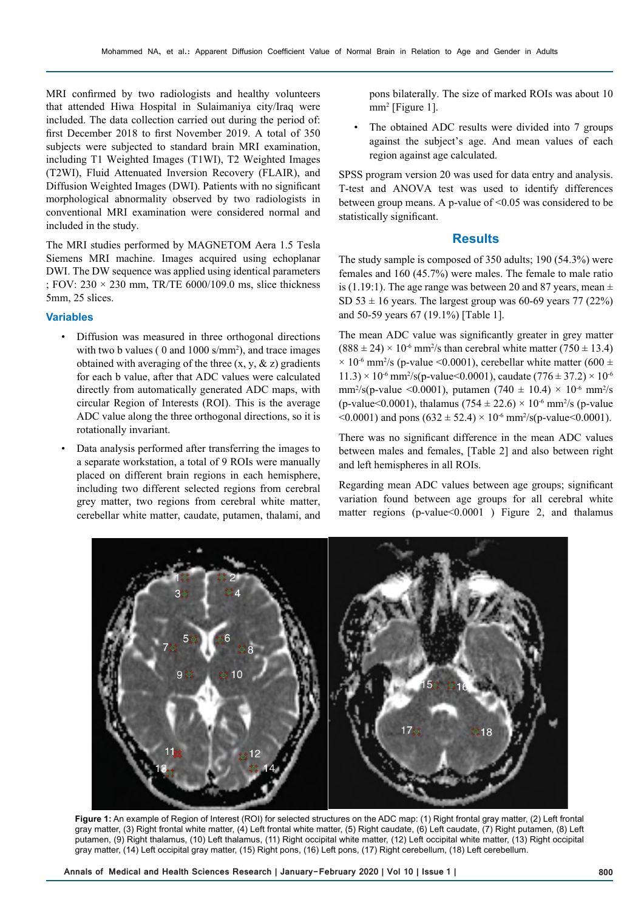MRI confirmed by two radiologists and healthy volunteers that attended Hiwa Hospital in Sulaimaniya city/Iraq were included. The data collection carried out during the period of: first December 2018 to first November 2019. A total of 350 subjects were subjected to standard brain MRI examination, including T1 Weighted Images (T1WI), T2 Weighted Images (T2WI), Fluid Attenuated Inversion Recovery (FLAIR), and Diffusion Weighted Images (DWI). Patients with no significant morphological abnormality observed by two radiologists in conventional MRI examination were considered normal and included in the study.

The MRI studies performed by MAGNETOM Aera 1.5 Tesla Siemens MRI machine. Images acquired using echoplanar DWI. The DW sequence was applied using identical parameters ; FOV:  $230 \times 230$  mm, TR/TE 6000/109.0 ms, slice thickness 5mm, 25 slices.

#### **Variables**

- Diffusion was measured in three orthogonal directions with two b values ( $0$  and  $1000$  s/mm<sup>2</sup>), and trace images obtained with averaging of the three  $(x, y, \& z)$  gradients for each b value, after that ADC values were calculated directly from automatically generated ADC maps, with circular Region of Interests (ROI). This is the average ADC value along the three orthogonal directions, so it is rotationally invariant.
- Data analysis performed after transferring the images to a separate workstation, a total of 9 ROIs were manually placed on different brain regions in each hemisphere, including two different selected regions from cerebral grey matter, two regions from cerebral white matter, cerebellar white matter, caudate, putamen, thalami, and

pons bilaterally. The size of marked ROIs was about 10 mm2 [Figure 1].

• The obtained ADC results were divided into 7 groups against the subject's age. And mean values of each region against age calculated.

SPSS program version 20 was used for data entry and analysis. T-test and ANOVA test was used to identify differences between group means. A p-value of <0.05 was considered to be statistically significant.

#### **Results**

The study sample is composed of 350 adults; 190 (54.3%) were females and 160 (45.7%) were males. The female to male ratio is (1.19:1). The age range was between 20 and 87 years, mean  $\pm$ SD 53  $\pm$  16 years. The largest group was 60-69 years 77 (22%) and 50-59 years 67 (19.1%) [Table 1].

The mean ADC value was significantly greater in grey matter  $(888 \pm 24) \times 10^{-6}$  mm<sup>2</sup>/s than cerebral white matter (750  $\pm$  13.4)  $\times$  10<sup>-6</sup> mm<sup>2</sup>/s (p-value <0.0001), cerebellar white matter (600  $\pm$  $11.3$ ) × 10<sup>-6</sup> mm<sup>2</sup>/s(p-value < 0.0001), caudate (776 ± 37.2) × 10<sup>-6</sup> mm<sup>2</sup>/s(p-value <0.0001), putamen (740  $\pm$  10.4)  $\times$  10<sup>-6</sup> mm<sup>2</sup>/s (p-value<0.0001), thalamus (754  $\pm$  22.6)  $\times$  10<sup>-6</sup> mm<sup>2</sup>/s (p-value  $\leq 0.0001$ ) and pons (632  $\pm$  52.4)  $\times$  10<sup>-6</sup> mm<sup>2</sup>/s(p-value $\leq 0.0001$ ).

There was no significant difference in the mean ADC values between males and females, [Table 2] and also between right and left hemispheres in all ROIs.

Regarding mean ADC values between age groups; significant variation found between age groups for all cerebral white matter regions (p-value  $0.0001$ ) Figure 2, and thalamus



**Figure 1:** An example of Region of Interest (ROI) for selected structures on the ADC map: (1) Right frontal gray matter, (2) Left frontal gray matter, (3) Right frontal white matter, (4) Left frontal white matter, (5) Right caudate, (6) Left caudate, (7) Right putamen, (8) Left putamen, (9) Right thalamus, (10) Left thalamus, (11) Right occipital white matter, (12) Left occipital white matter, (13) Right occipital gray matter, (14) Left occipital gray matter, (15) Right pons, (16) Left pons, (17) Right cerebellum, (18) Left cerebellum.

**Annals of Medical and Health Sciences Research | January-February 2020 | Vol 10 | Issue 1 | 800**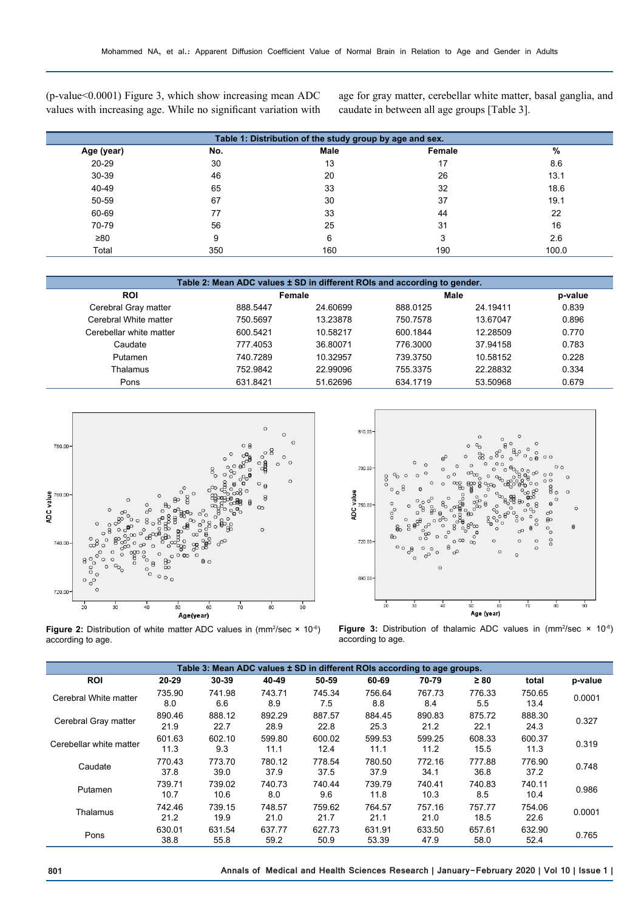(p-value<0.0001) Figure 3, which show increasing mean ADC values with increasing age. While no significant variation with

age for gray matter, cerebellar white matter, basal ganglia, and caudate in between all age groups [Table 3].

| Table 1: Distribution of the study group by age and sex. |     |             |        |       |  |  |
|----------------------------------------------------------|-----|-------------|--------|-------|--|--|
| Age (year)                                               | No. | <b>Male</b> | Female | %     |  |  |
| 20-29                                                    | 30  | 13          | 17     | 8.6   |  |  |
| 30-39                                                    | 46  | 20          | 26     | 13.1  |  |  |
| 40-49                                                    | 65  | 33          | 32     | 18.6  |  |  |
| 50-59                                                    | 67  | 30          | 37     | 19.1  |  |  |
| 60-69                                                    | 77  | 33          | 44     | 22    |  |  |
| 70-79                                                    | 56  | 25          | 31     | 16    |  |  |
| ≥80                                                      | 9   | 6           | 3      | 2.6   |  |  |
| Total                                                    | 350 | 160         | 190    | 100.0 |  |  |

| Table 2: Mean ADC values ± SD in different ROIs and according to gender. |          |          |          |          |       |  |
|--------------------------------------------------------------------------|----------|----------|----------|----------|-------|--|
| <b>ROI</b>                                                               |          | Female   |          | Male     |       |  |
| Cerebral Gray matter                                                     | 888.5447 | 24.60699 | 888.0125 | 24.19411 | 0.839 |  |
| Cerebral White matter                                                    | 750.5697 | 13.23878 | 750.7578 | 13.67047 | 0.896 |  |
| Cerebellar white matter                                                  | 600.5421 | 10.58217 | 600.1844 | 12.28509 | 0.770 |  |
| Caudate                                                                  | 777.4053 | 36.80071 | 776.3000 | 37.94158 | 0.783 |  |
| Putamen                                                                  | 740.7289 | 10.32957 | 739.3750 | 10.58152 | 0.228 |  |
| Thalamus                                                                 | 752.9842 | 22.99096 | 755.3375 | 22.28832 | 0.334 |  |
| Pons                                                                     | 631.8421 | 51.62696 | 634.1719 | 53.50968 | 0.679 |  |



**Figure 2:** Distribution of white matter ADC values in  $\text{(mm}^2/\text{sec} \times 10^{-6})$ according to age.



**Figure 3:** Distribution of thalamic ADC values in  $\text{(mm}^2/\text{sec} \times 10^{-6})$ according to age.

| Table 3: Mean ADC values ± SD in different ROIs according to age groups. |                |                |                |                |                 |                |                |                |         |
|--------------------------------------------------------------------------|----------------|----------------|----------------|----------------|-----------------|----------------|----------------|----------------|---------|
| <b>ROI</b>                                                               | 20-29          | 30-39          | 40-49          | 50-59          | 60-69           | 70-79          | $\geq 80$      | total          | p-value |
| Cerebral White matter                                                    | 735.90<br>8.0  | 741.98<br>6.6  | 743.71<br>8.9  | 745.34<br>7.5  | 756.64<br>8.8   | 767.73<br>8.4  | 776.33<br>5.5  | 750.65<br>13.4 | 0.0001  |
| Cerebral Gray matter                                                     | 890.46<br>21.9 | 888.12<br>22.7 | 892.29<br>28.9 | 887.57<br>22.8 | 884.45<br>25.3  | 890.83<br>21.2 | 875.72<br>22.1 | 888.30<br>24.3 | 0.327   |
| Cerebellar white matter                                                  | 601.63<br>11.3 | 602.10<br>9.3  | 599.80<br>11.1 | 600.02<br>12.4 | 599.53<br>11.1  | 599.25<br>11.2 | 608.33<br>15.5 | 600.37<br>11.3 | 0.319   |
| Caudate                                                                  | 770.43<br>37.8 | 773.70<br>39.0 | 780.12<br>37.9 | 778.54<br>37.5 | 780.50<br>37.9  | 772.16<br>34.1 | 777.88<br>36.8 | 776.90<br>37.2 | 0.748   |
| Putamen                                                                  | 739.71<br>10.7 | 739.02<br>10.6 | 740.73<br>8.0  | 740.44<br>9.6  | 739.79<br>11.8  | 740.41<br>10.3 | 740.83<br>8.5  | 740.11<br>10.4 | 0.986   |
| Thalamus                                                                 | 742.46<br>21.2 | 739.15<br>19.9 | 748.57<br>21.0 | 759.62<br>21.7 | 764.57<br>21.1  | 757.16<br>21.0 | 757.77<br>18.5 | 754.06<br>22.6 | 0.0001  |
| Pons                                                                     | 630.01<br>38.8 | 631.54<br>55.8 | 637.77<br>59.2 | 627.73<br>50.9 | 631.91<br>53.39 | 633.50<br>47.9 | 657.61<br>58.0 | 632.90<br>52.4 | 0.765   |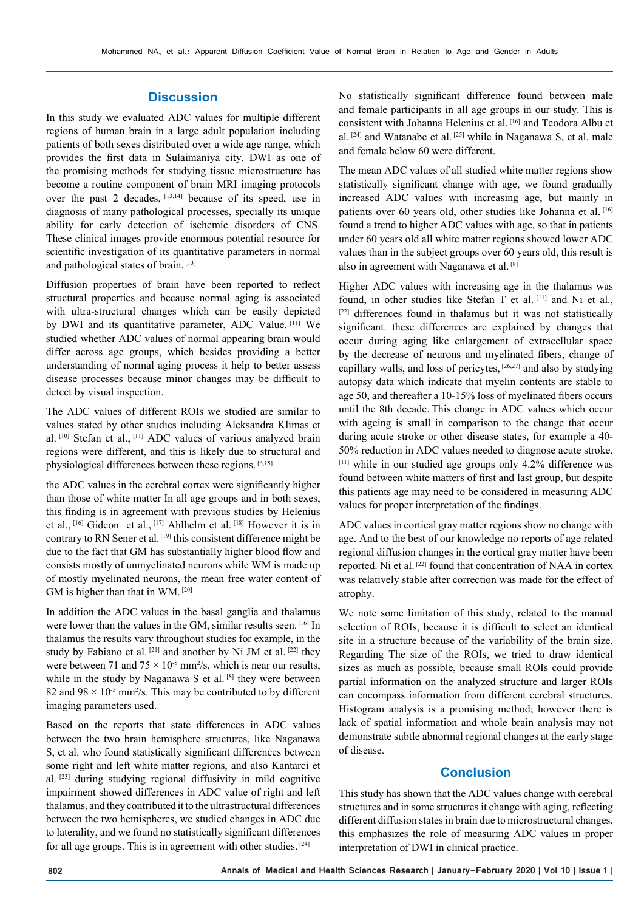#### **Discussion**

In this study we evaluated ADC values for multiple different regions of human brain in a large adult population including patients of both sexes distributed over a wide age range, which provides the first data in Sulaimaniya city. DWI as one of the promising methods for studying tissue microstructure has become a routine component of brain MRI imaging protocols over the past 2 decades, [13,14] because of its speed, use in diagnosis of many pathological processes, specially its unique ability for early detection of ischemic disorders of CNS. These clinical images provide enormous potential resource for scientific investigation of its quantitative parameters in normal and pathological states of brain. [13]

Diffusion properties of brain have been reported to reflect structural properties and because normal aging is associated with ultra-structural changes which can be easily depicted by DWI and its quantitative parameter, ADC Value. [11] We studied whether ADC values of normal appearing brain would differ across age groups, which besides providing a better understanding of normal aging process it help to better assess disease processes because minor changes may be difficult to detect by visual inspection.

The ADC values of different ROIs we studied are similar to values stated by other studies including Aleksandra Klimas et al. [10] Stefan et al., [11] ADC values of various analyzed brain regions were different, and this is likely due to structural and physiological differences between these regions. [6,15]

the ADC values in the cerebral cortex were significantly higher than those of white matter In all age groups and in both sexes, this finding is in agreement with previous studies by Helenius et al., [16] Gideon et al., [17] Ahlhelm et al. [18] However it is in contrary to RN Sener et al. [19] this consistent difference might be due to the fact that GM has substantially higher blood flow and consists mostly of unmyelinated neurons while WM is made up of mostly myelinated neurons, the mean free water content of GM is higher than that in WM. [20]

In addition the ADC values in the basal ganglia and thalamus were lower than the values in the GM, similar results seen. [16] In thalamus the results vary throughout studies for example, in the study by Fabiano et al. [21] and another by Ni JM et al. [22] they were between 71 and  $75 \times 10^{-5}$  mm<sup>2</sup>/s, which is near our results, while in the study by Naganawa S et al. [8] they were between 82 and  $98 \times 10^{-5}$  mm<sup>2</sup>/s. This may be contributed to by different imaging parameters used.

Based on the reports that state differences in ADC values between the two brain hemisphere structures, like Naganawa S, et al. who found statistically significant differences between some right and left white matter regions, and also Kantarci et al. [23] during studying regional diffusivity in mild cognitive impairment showed differences in ADC value of right and left thalamus, and they contributed it to the ultrastructural differences between the two hemispheres, we studied changes in ADC due to laterality, and we found no statistically significant differences for all age groups. This is in agreement with other studies. [24]

No statistically significant difference found between male and female participants in all age groups in our study. This is consistent with Johanna Helenius et al. [16] and Teodora Albu et al. [24] and Watanabe et al. [25] while in Naganawa S, et al. male and female below 60 were different.

The mean ADC values of all studied white matter regions show statistically significant change with age, we found gradually increased ADC values with increasing age, but mainly in patients over 60 years old, other studies like Johanna et al. [16] found a trend to higher ADC values with age, so that in patients under 60 years old all white matter regions showed lower ADC values than in the subject groups over 60 years old, this result is also in agreement with Naganawa et al. [8]

Higher ADC values with increasing age in the thalamus was found, in other studies like Stefan T et al. [11] and Ni et al., [22] differences found in thalamus but it was not statistically significant. these differences are explained by changes that occur during aging like enlargement of extracellular space by the decrease of neurons and myelinated fibers, change of capillary walls, and loss of pericytes, [26,27] and also by studying autopsy data which indicate that myelin contents are stable to age 50, and thereafter a 10-15% loss of myelinated fibers occurs until the 8th decade. This change in ADC values which occur with ageing is small in comparison to the change that occur during acute stroke or other disease states, for example a 40- 50% reduction in ADC values needed to diagnose acute stroke, [11] while in our studied age groups only 4.2% difference was found between white matters of first and last group, but despite this patients age may need to be considered in measuring ADC values for proper interpretation of the findings.

ADC values in cortical gray matter regions show no change with age. And to the best of our knowledge no reports of age related regional diffusion changes in the cortical gray matter have been reported. Ni et al. [22] found that concentration of NAA in cortex was relatively stable after correction was made for the effect of atrophy.

We note some limitation of this study, related to the manual selection of ROIs, because it is difficult to select an identical site in a structure because of the variability of the brain size. Regarding The size of the ROIs, we tried to draw identical sizes as much as possible, because small ROIs could provide partial information on the analyzed structure and larger ROIs can encompass information from different cerebral structures. Histogram analysis is a promising method; however there is lack of spatial information and whole brain analysis may not demonstrate subtle abnormal regional changes at the early stage of disease.

#### **Conclusion**

This study has shown that the ADC values change with cerebral structures and in some structures it change with aging, reflecting different diffusion states in brain due to microstructural changes, this emphasizes the role of measuring ADC values in proper interpretation of DWI in clinical practice.